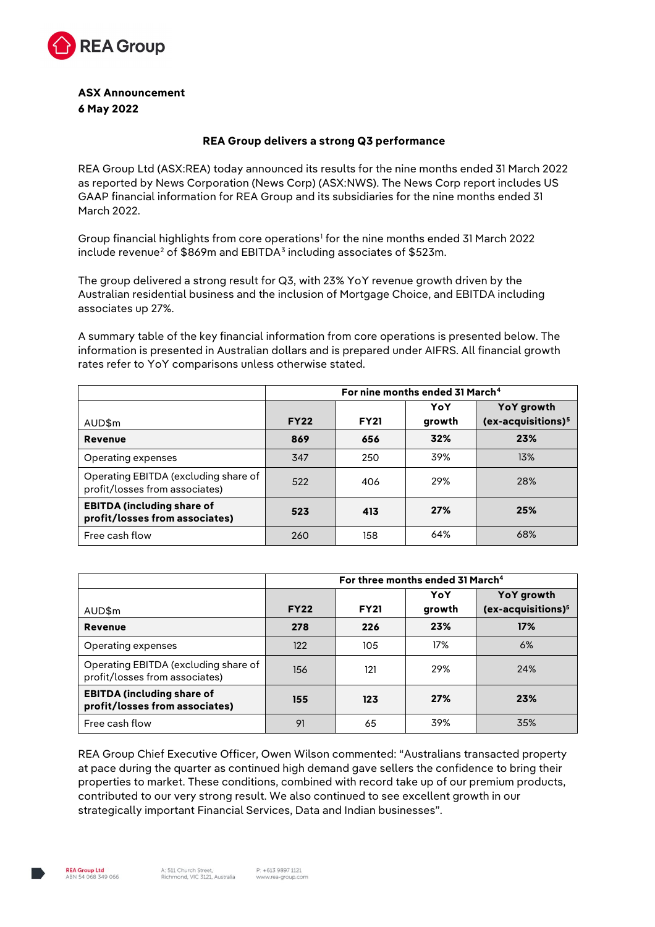

**ASX Announcement 6 May 2022** 

#### **REA Group delivers a strong Q3 performance**

REA Group Ltd (ASX:REA) today announced its results for the nine months ended 31 March 2022 as reported by News Corporation (News Corp) (ASX:NWS). The News Corp report includes US GAAP financial information for REA Group and its subsidiaries for the nine months ended 31 March 2022.

Group financial highlights from core operations<sup>[1](#page-4-0)</sup> for the nine months ended 31 March 2022 include revenue<sup>[2](#page-4-1)</sup> of \$869m and EBITDA<sup>[3](#page-4-2)</sup> including associates of \$523m.

The group delivered a strong result for Q3, with 23% YoY revenue growth driven by the Australian residential business and the inclusion of Mortgage Choice, and EBITDA including associates up 27%.

A summary table of the key financial information from core operations is presented below. The information is presented in Australian dollars and is prepared under AIFRS. All financial growth rates refer to YoY comparisons unless otherwise stated.

|                                                                        | For nine months ended 31 March <sup>4</sup> |             |        |                                |
|------------------------------------------------------------------------|---------------------------------------------|-------------|--------|--------------------------------|
|                                                                        |                                             |             | YoY    | YoY growth                     |
| AUD\$m                                                                 | <b>FY22</b>                                 | <b>FY21</b> | growth | (ex-acquisitions) <sup>5</sup> |
| <b>Revenue</b>                                                         | 869                                         | 656         | 32%    | 23%                            |
| Operating expenses                                                     | 347                                         | 250         | 39%    | 13%                            |
| Operating EBITDA (excluding share of<br>profit/losses from associates) | 522                                         | 406         | 29%    | 28%                            |
| <b>EBITDA (including share of</b><br>profit/losses from associates)    | 523                                         | 413         | 27%    | 25%                            |
| Free cash flow                                                         | 260                                         | 158         | 64%    | 68%                            |

|                                                                        | For three months ended 31 March <sup>4</sup> |             |        |                                |
|------------------------------------------------------------------------|----------------------------------------------|-------------|--------|--------------------------------|
|                                                                        |                                              |             | YoY    | YoY growth                     |
| AUD\$m                                                                 | <b>FY22</b>                                  | <b>FY21</b> | growth | (ex-acquisitions) <sup>5</sup> |
| <b>Revenue</b>                                                         | 278                                          | 226         | 23%    | 17%                            |
| Operating expenses                                                     | 122                                          | 105         | 17%    | 6%                             |
| Operating EBITDA (excluding share of<br>profit/losses from associates) | 156                                          | 121         | 29%    | 24%                            |
| <b>EBITDA (including share of</b><br>profit/losses from associates)    | 155                                          | 123         | 27%    | 23%                            |
| Free cash flow                                                         | 91                                           | 65          | 39%    | 35%                            |

REA Group Chief Executive Officer, Owen Wilson commented: "Australians transacted property at pace during the quarter as continued high demand gave sellers the confidence to bring their properties to market. These conditions, combined with record take up of our premium products, contributed to our very strong result. We also continued to see excellent growth in our strategically important Financial Services, Data and Indian businesses".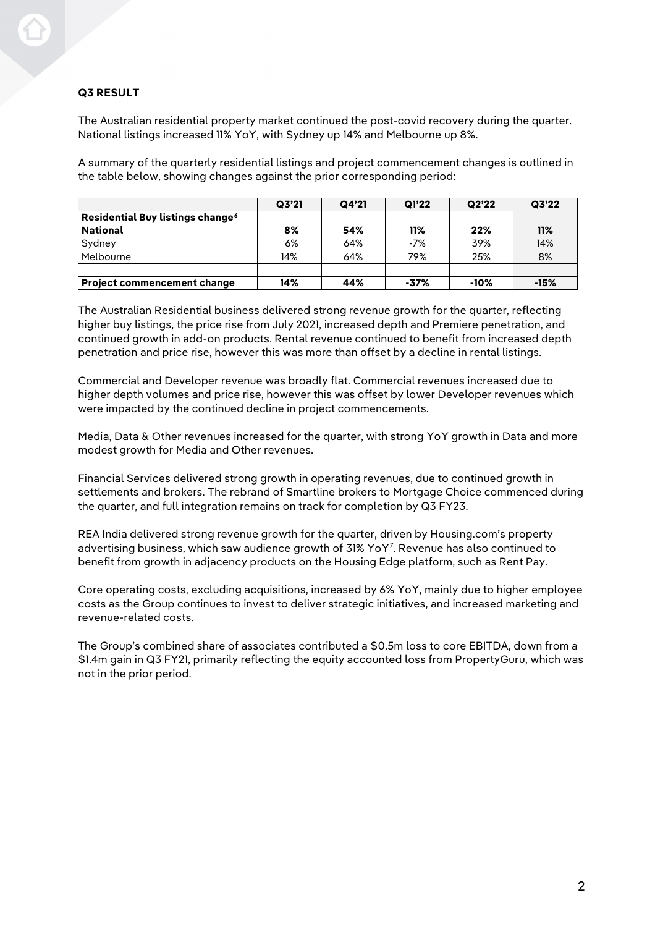# **Q3 RESULT**

The Australian residential property market continued the post-covid recovery during the quarter. National listings increased 11% YoY, with Sydney up 14% and Melbourne up 8%.

A summary of the quarterly residential listings and project commencement changes is outlined in the table below, showing changes against the prior corresponding period:

|                                              | Q3'21 | Q4'21 | Q1'22 | Q2'22  | Q3'22  |
|----------------------------------------------|-------|-------|-------|--------|--------|
| Residential Buy listings change <sup>6</sup> |       |       |       |        |        |
| <b>National</b>                              | 8%    | 54%   | 11%   | 22%    | 11%    |
| Sydney                                       | 6%    | 64%   | $-7%$ | 39%    | 14%    |
| Melbourne                                    | 14%   | 64%   | 79%   | 25%    | 8%     |
|                                              |       |       |       |        |        |
| <b>Project commencement change</b>           | 14%   | 44%   | -37%  | $-10%$ | $-15%$ |

The Australian Residential business delivered strong revenue growth for the quarter, reflecting higher buy listings, the price rise from July 2021, increased depth and Premiere penetration, and continued growth in add-on products. Rental revenue continued to benefit from increased depth penetration and price rise, however this was more than offset by a decline in rental listings.

Commercial and Developer revenue was broadly flat. Commercial revenues increased due to higher depth volumes and price rise, however this was offset by lower Developer revenues which were impacted by the continued decline in project commencements.

Media, Data & Other revenues increased for the quarter, with strong YoY growth in Data and more modest growth for Media and Other revenues.

Financial Services delivered strong growth in operating revenues, due to continued growth in settlements and brokers. The rebrand of Smartline brokers to Mortgage Choice commenced during the quarter, and full integration remains on track for completion by Q3 FY23.

REA India delivered strong revenue growth for the quarter, driven by Housing.com's property advertising business, which saw audience growth of 31% YoY[7](#page-4-6) . Revenue has also continued to benefit from growth in adjacency products on the Housing Edge platform, such as Rent Pay.

Core operating costs, excluding acquisitions, increased by 6% YoY, mainly due to higher employee costs as the Group continues to invest to deliver strategic initiatives, and increased marketing and revenue-related costs.

The Group's combined share of associates contributed a \$0.5m loss to core EBITDA, down from a \$1.4m gain in Q3 FY21, primarily reflecting the equity accounted loss from PropertyGuru, which was not in the prior period.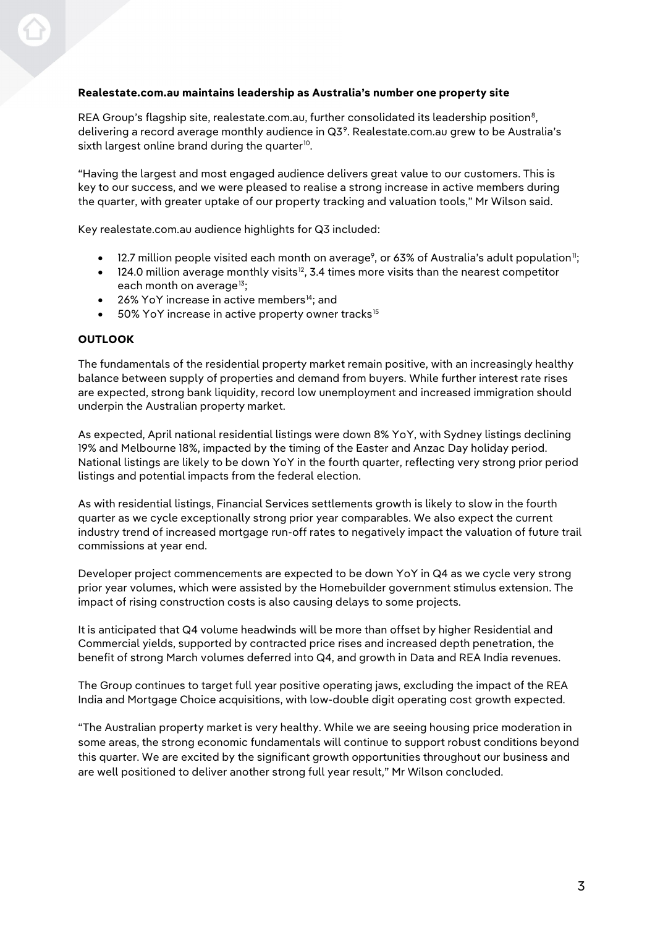# **Realestate.com.au maintains leadership as Australia's number one property site**

<span id="page-2-0"></span>REA Group's flagship site, realestate.com.au, further consolidated its leadership position<sup>[8](#page-4-7)</sup>. delivering a record average monthly audience in  $Q3<sup>9</sup>$  $Q3<sup>9</sup>$  $Q3<sup>9</sup>$ . Realestate.com.au grew to be Australia's sixth largest online brand during the quarter $^{10}$ .

"Having the largest and most engaged audience delivers great value to our customers. This is key to our success, and we were pleased to realise a strong increase in active members during the quarter, with greater uptake of our property tracking and valuation tools," Mr Wilson said.

Key realestate.com.au audience highlights for Q3 included:

- $\bullet$   $\,$  12.7 million people visited each month on average $^{\circ}$ , or 63% of Australia's adult population";
- [12](#page-4-11)4.0 million average monthly visits<sup>12</sup>, 3.4 times more visits than the nearest competitor each month on average<sup>[13](#page-4-12)</sup>;
- 26% YoY increase in active members<sup>14</sup>; and
- 50% YoY increase in active property owner tracks<sup>[15](#page-4-14)</sup>

## **OUTLOOK**

The fundamentals of the residential property market remain positive, with an increasingly healthy balance between supply of properties and demand from buyers. While further interest rate rises are expected, strong bank liquidity, record low unemployment and increased immigration should underpin the Australian property market.

As expected, April national residential listings were down 8% YoY, with Sydney listings declining 19% and Melbourne 18%, impacted by the timing of the Easter and Anzac Day holiday period. National listings are likely to be down YoY in the fourth quarter, reflecting very strong prior period listings and potential impacts from the federal election.

As with residential listings, Financial Services settlements growth is likely to slow in the fourth quarter as we cycle exceptionally strong prior year comparables. We also expect the current industry trend of increased mortgage run-off rates to negatively impact the valuation of future trail commissions at year end.

Developer project commencements are expected to be down YoY in Q4 as we cycle very strong prior year volumes, which were assisted by the Homebuilder government stimulus extension. The impact of rising construction costs is also causing delays to some projects.

It is anticipated that Q4 volume headwinds will be more than offset by higher Residential and Commercial yields, supported by contracted price rises and increased depth penetration, the benefit of strong March volumes deferred into Q4, and growth in Data and REA India revenues.

The Group continues to target full year positive operating jaws, excluding the impact of the REA India and Mortgage Choice acquisitions, with low-double digit operating cost growth expected.

"The Australian property market is very healthy. While we are seeing housing price moderation in some areas, the strong economic fundamentals will continue to support robust conditions beyond this quarter. We are excited by the significant growth opportunities throughout our business and are well positioned to deliver another strong full year result," Mr Wilson concluded.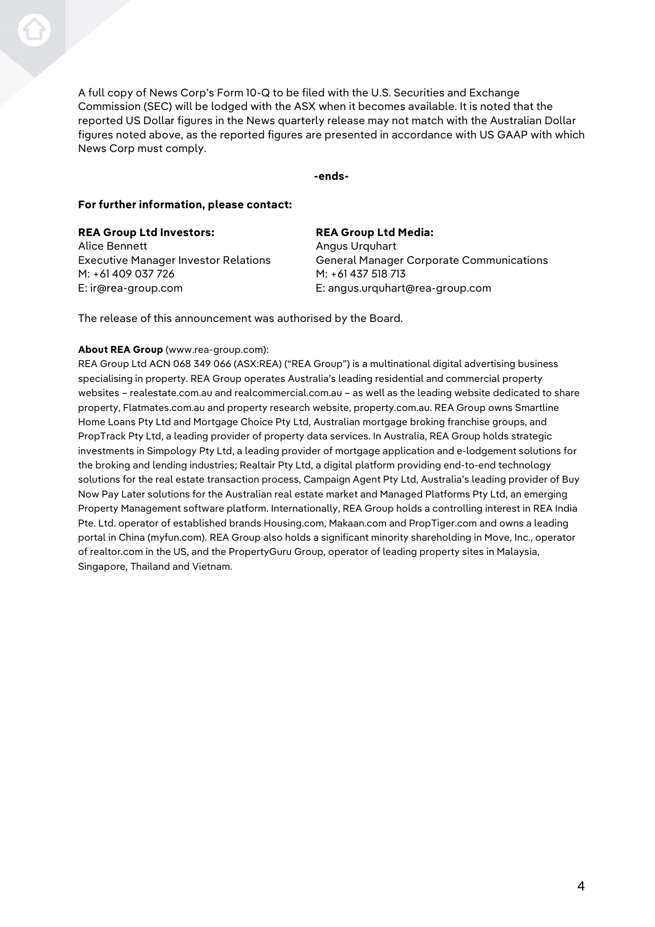A full copy of News Corp's Form 10-Q to be filed with the U.S. Securities and Exchange Commission (SEC) will be lodged with the ASX when it becomes available. It is noted that the reported US Dollar figures in the News quarterly release may not match with the Australian Dollar figures noted above, as the reported figures are presented in accordance with US GAAP with which News Corp must comply.

**-ends-**

## **For further information, please contact:**

| <b>REA Group Ltd Media:</b>                     |
|-------------------------------------------------|
| Angus Urguhart                                  |
| <b>General Manager Corporate Communications</b> |
| M: +61 437 518 713                              |
| E: angus.urquhart@rea-group.com                 |
|                                                 |

The release of this announcement was authorised by the Board.

## **About REA Group** (www.rea-group.com):

REA Group Ltd ACN 068 349 066 (ASX:REA) ("REA Group") is a multinational digital advertising business specialising in property. REA Group operates Australia's leading residential and commercial property websites – realestate.com.au and realcommercial.com.au – as well as the leading website dedicated to share property, Flatmates.com.au and property research website, property.com.au. REA Group owns Smartline Home Loans Pty Ltd and Mortgage Choice Pty Ltd, Australian mortgage broking franchise groups, and PropTrack Pty Ltd, a leading provider of property data services. In Australia, REA Group holds strategic investments in Simpology Pty Ltd, a leading provider of mortgage application and e-lodgement solutions for the broking and lending industries; Realtair Pty Ltd, a digital platform providing end-to-end technology solutions for the real estate transaction process, Campaign Agent Pty Ltd, Australia's leading provider of Buy Now Pay Later solutions for the Australian real estate market and Managed Platforms Pty Ltd, an emerging Property Management software platform. Internationally, REA Group holds a controlling interest in REA India Pte. Ltd. operator of established brands Housing.com, Makaan.com and PropTiger.com and owns a leading portal in China (myfun.com). REA Group also holds a significant minority shareholding in Move, Inc., operator of realtor.com in the US, and the PropertyGuru Group, operator of leading property sites in Malaysia, Singapore, Thailand and Vietnam.